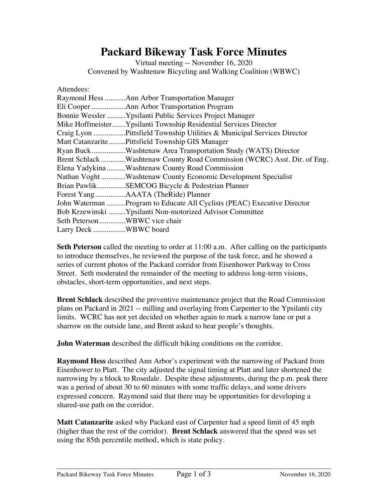## **Packard Bikeway Task Force Minutes**

Virtual meeting -- November 16, 2020 Convened by Washtenaw Bicycling and Walking Coalition (WBWC)

| Attendees:                                                               |
|--------------------------------------------------------------------------|
| Raymond Hess Ann Arbor Transportation Manager                            |
|                                                                          |
| Bonnie Wessler Ypsilanti Public Services Project Manager                 |
| Mike HoffmeisterYpsilanti Township Residential Services Director         |
| Craig Lyon Pittsfield Township Utilities & Municipal Services Director   |
| Matt Catanzarite  Pittsfield Township GIS Manager                        |
| Ryan BuckWashtenaw Area Transportation Study (WATS) Director             |
| Brent Schlack Washtenaw County Road Commission (WCRC) Asst. Dir. of Eng. |
| Elena Yadykina Washtenaw County Road Commission                          |
| Nathan Voght Washtenaw County Economic Development Specialist            |
| Brian PawlikSEMCOG Bicycle & Pedestrian Planner                          |
|                                                                          |
| John Waterman Program to Educate All Cyclists (PEAC) Executive Director  |
| Bob Krzewinski Ypsilanti Non-motorized Advisor Committee                 |
| Seth PetersonWBWC vice chair                                             |
| Larry Deck WBWC board                                                    |

**Seth Peterson** called the meeting to order at 11:00 a.m. After calling on the participants to introduce themselves, he reviewed the purpose of the task force, and he showed a series of current photos of the Packard corridor from Eisenhower Parkway to Cross Street. Seth moderated the remainder of the meeting to address long-term visions, obstacles, short-term opportunities, and next steps.

**Brent Schlack** described the preventive maintenance project that the Road Commission plans on Packard in 2021 -- milling and overlaying from Carpenter to the Ypsilanti city limits. WCRC has not yet decided on whether again to mark a narrow lane or put a sharrow on the outside lane, and Brent asked to hear people's thoughts.

**John Waterman** described the difficult biking conditions on the corridor.

**Raymond Hess** described Ann Arbor's experiment with the narrowing of Packard from Eisenhower to Platt. The city adjusted the signal timing at Platt and later shortened the narrowing by a block to Rosedale. Despite these adjustments, during the p.m. peak there was a period of about 30 to 60 minutes with some traffic delays, and some drivers expressed concern. Raymond said that there may be opportunities for developing a shared-use path on the corridor.

**Matt Catanzarite** asked why Packard east of Carpenter had a speed limit of 45 mph (higher than the rest of the corridor). **Brent Schlack** answered that the speed was set using the 85th percentile method, which is state policy.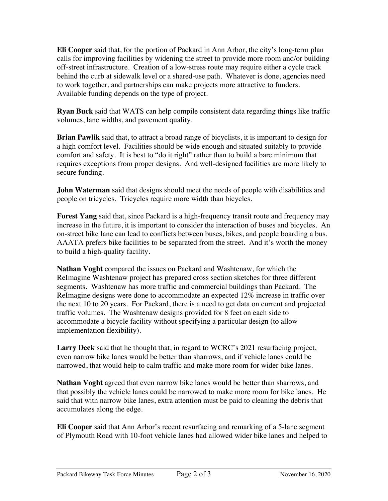**Eli Cooper** said that, for the portion of Packard in Ann Arbor, the city's long-term plan calls for improving facilities by widening the street to provide more room and/or building off-street infrastructure. Creation of a low-stress route may require either a cycle track behind the curb at sidewalk level or a shared-use path. Whatever is done, agencies need to work together, and partnerships can make projects more attractive to funders. Available funding depends on the type of project.

**Ryan Buck** said that WATS can help compile consistent data regarding things like traffic volumes, lane widths, and pavement quality.

**Brian Pawlik** said that, to attract a broad range of bicyclists, it is important to design for a high comfort level. Facilities should be wide enough and situated suitably to provide comfort and safety. It is best to "do it right" rather than to build a bare minimum that requires exceptions from proper designs. And well-designed facilities are more likely to secure funding.

**John Waterman** said that designs should meet the needs of people with disabilities and people on tricycles. Tricycles require more width than bicycles.

**Forest Yang** said that, since Packard is a high-frequency transit route and frequency may increase in the future, it is important to consider the interaction of buses and bicycles. An on-street bike lane can lead to conflicts between buses, bikes, and people boarding a bus. AAATA prefers bike facilities to be separated from the street. And it's worth the money to build a high-quality facility.

**Nathan Voght** compared the issues on Packard and Washtenaw, for which the ReImagine Washtenaw project has prepared cross section sketches for three different segments. Washtenaw has more traffic and commercial buildings than Packard. The ReImagine designs were done to accommodate an expected 12% increase in traffic over the next 10 to 20 years. For Packard, there is a need to get data on current and projected traffic volumes. The Washtenaw designs provided for 8 feet on each side to accommodate a bicycle facility without specifying a particular design (to allow implementation flexibility).

**Larry Deck** said that he thought that, in regard to WCRC's 2021 resurfacing project, even narrow bike lanes would be better than sharrows, and if vehicle lanes could be narrowed, that would help to calm traffic and make more room for wider bike lanes.

**Nathan Voght** agreed that even narrow bike lanes would be better than sharrows, and that possibly the vehicle lanes could be narrowed to make more room for bike lanes. He said that with narrow bike lanes, extra attention must be paid to cleaning the debris that accumulates along the edge.

**Eli Cooper** said that Ann Arbor's recent resurfacing and remarking of a 5-lane segment of Plymouth Road with 10-foot vehicle lanes had allowed wider bike lanes and helped to